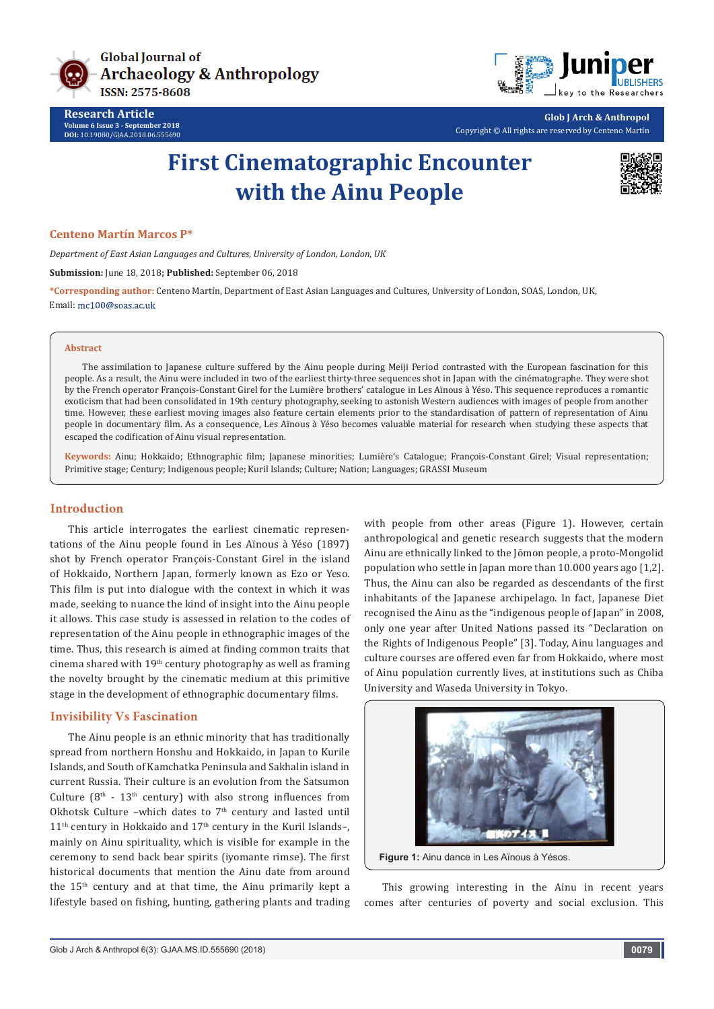

**Research Article Volume 6 Issue 3 - September 2018 DOI:** [10.19080/GJAA.2018.06.555690](http://dx.doi.org/10.19080/GJAA.2018.06.555690)



**Glob J Arch & Anthropol** Copyright © All rights are reserved by Centeno Martín

# **First Cinematographic Encounter with the Ainu People**



#### **Centeno Martín Marcos P\***

*Department of East Asian Languages and Cultures, University of London, London, UK*

**Submission:** June 18, 2018**; Published:** September 06, 2018

**\*Corresponding author:** Centeno Martín, Department of East Asian Languages and Cultures, University of London, SOAS, London, UK, Email: mc100@soas.ac.uk

#### **Abstract**

The assimilation to Japanese culture suffered by the Ainu people during Meiji Period contrasted with the European fascination for this people. As a result, the Ainu were included in two of the earliest thirty-three sequences shot in Japan with the cinématographe. They were shot by the French operator François-Constant Girel for the Lumière brothers' catalogue in Les Aïnous à Yéso. This sequence reproduces a romantic exoticism that had been consolidated in 19th century photography, seeking to astonish Western audiences with images of people from another time. However, these earliest moving images also feature certain elements prior to the standardisation of pattern of representation of Ainu people in documentary film. As a consequence, Les Aïnous à Yéso becomes valuable material for research when studying these aspects that escaped the codification of Ainu visual representation.

**Keywords:** Ainu; Hokkaido; Ethnographic film; Japanese minorities; Lumière's Catalogue; François-Constant Girel; Visual representation; Primitive stage; Century; Indigenous people; Kuril Islands; Culture; Nation; Languages; GRASSI Museum

## **Introduction**

This article interrogates the earliest cinematic representations of the Ainu people found in Les Aïnous à Yéso (1897) shot by French operator François-Constant Girel in the island of Hokkaido, Northern Japan, formerly known as Ezo or Yeso. This film is put into dialogue with the context in which it was made, seeking to nuance the kind of insight into the Ainu people it allows. This case study is assessed in relation to the codes of representation of the Ainu people in ethnographic images of the time. Thus, this research is aimed at finding common traits that cinema shared with  $19<sup>th</sup>$  century photography as well as framing the novelty brought by the cinematic medium at this primitive stage in the development of ethnographic documentary films.

## **Invisibility Vs Fascination**

The Ainu people is an ethnic minority that has traditionally spread from northern Honshu and Hokkaido, in Japan to Kurile Islands, and South of Kamchatka Peninsula and Sakhalin island in current Russia. Their culture is an evolution from the Satsumon Culture  $(8<sup>th</sup> - 13<sup>th</sup>$  century) with also strong influences from Okhotsk Culture –which dates to  $7<sup>th</sup>$  century and lasted until  $11<sup>th</sup>$  century in Hokkaido and  $17<sup>th</sup>$  century in the Kuril Islands–, mainly on Ainu spirituality, which is visible for example in the ceremony to send back bear spirits (iyomante rimse). The first historical documents that mention the Ainu date from around the 15th century and at that time, the Ainu primarily kept a lifestyle based on fishing, hunting, gathering plants and trading with people from other areas (Figure 1). However, certain anthropological and genetic research suggests that the modern Ainu are ethnically linked to the Jōmon people, a proto-Mongolid population who settle in Japan more than 10.000 years ago [1,2]. Thus, the Ainu can also be regarded as descendants of the first inhabitants of the Japanese archipelago. In fact, Japanese Diet recognised the Ainu as the "indigenous people of Japan" in 2008, only one year after United Nations passed its "Declaration on the Rights of Indigenous People" [3]. Today, Ainu languages and culture courses are offered even far from Hokkaido, where most of Ainu population currently lives, at institutions such as Chiba University and Waseda University in Tokyo.



This growing interesting in the Ainu in recent years comes after centuries of poverty and social exclusion. This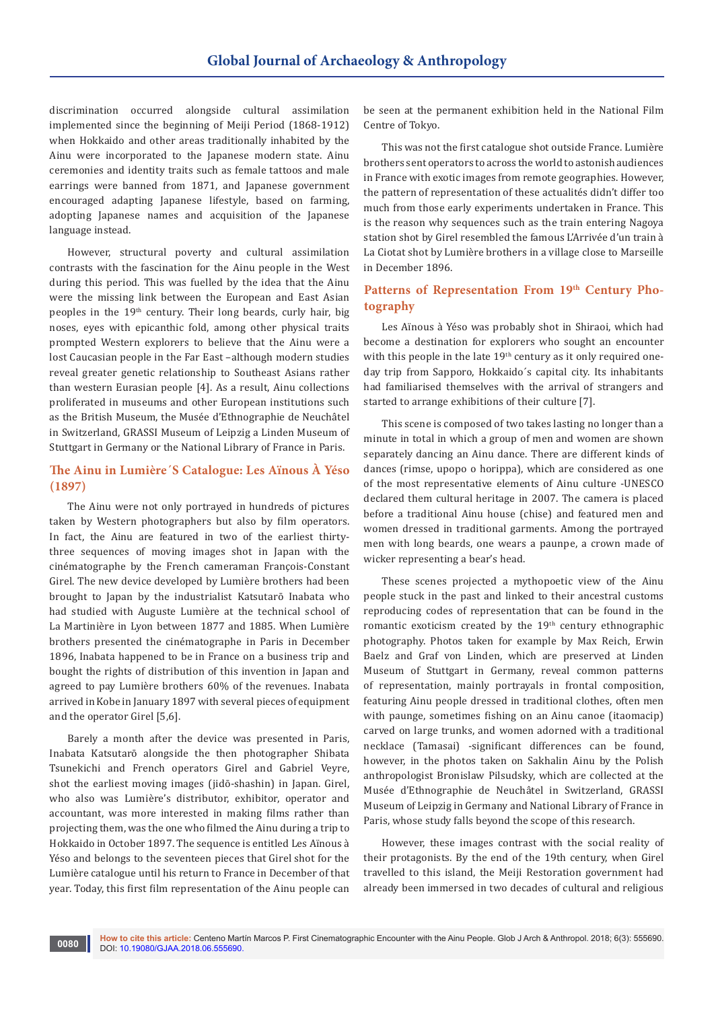discrimination occurred alongside cultural assimilation implemented since the beginning of Meiji Period (1868-1912) when Hokkaido and other areas traditionally inhabited by the Ainu were incorporated to the Japanese modern state. Ainu ceremonies and identity traits such as female tattoos and male earrings were banned from 1871, and Japanese government encouraged adapting Japanese lifestyle, based on farming, adopting Japanese names and acquisition of the Japanese language instead.

However, structural poverty and cultural assimilation contrasts with the fascination for the Ainu people in the West during this period. This was fuelled by the idea that the Ainu were the missing link between the European and East Asian peoples in the 19<sup>th</sup> century. Their long beards, curly hair, big noses, eyes with epicanthic fold, among other physical traits prompted Western explorers to believe that the Ainu were a lost Caucasian people in the Far East –although modern studies reveal greater genetic relationship to Southeast Asians rather than western Eurasian people [4]. As a result, Ainu collections proliferated in museums and other European institutions such as the British Museum, the Musée d'Ethnographie de Neuchâtel in Switzerland, GRASSI Museum of Leipzig a Linden Museum of Stuttgart in Germany or the National Library of France in Paris.

## **The Ainu in Lumière´S Catalogue: Les Aïnous À Yéso (1897)**

The Ainu were not only portrayed in hundreds of pictures taken by Western photographers but also by film operators. In fact, the Ainu are featured in two of the earliest thirtythree sequences of moving images shot in Japan with the cinématographe by the French cameraman François-Constant Girel. The new device developed by Lumière brothers had been brought to Japan by the industrialist Katsutarō Inabata who had studied with Auguste Lumière at the technical school of La Martinière in Lyon between 1877 and 1885. When Lumière brothers presented the cinématographe in Paris in December 1896, Inabata happened to be in France on a business trip and bought the rights of distribution of this invention in Japan and agreed to pay Lumière brothers 60% of the revenues. Inabata arrived in Kobe in January 1897 with several pieces of equipment and the operator Girel [5,6].

Barely a month after the device was presented in Paris, Inabata Katsutarō alongside the then photographer Shibata Tsunekichi and French operators Girel and Gabriel Veyre, shot the earliest moving images (jidō-shashin) in Japan. Girel, who also was Lumière's distributor, exhibitor, operator and accountant, was more interested in making films rather than projecting them, was the one who filmed the Ainu during a trip to Hokkaido in October 1897. The sequence is entitled Les Aïnous à Yéso and belongs to the seventeen pieces that Girel shot for the Lumière catalogue until his return to France in December of that year. Today, this first film representation of the Ainu people can

be seen at the permanent exhibition held in the National Film Centre of Tokyo.

This was not the first catalogue shot outside France. Lumière brothers sent operators to across the world to astonish audiences in France with exotic images from remote geographies. However, the pattern of representation of these actualités didn't differ too much from those early experiments undertaken in France. This is the reason why sequences such as the train entering Nagoya station shot by Girel resembled the famous L'Arrivée d'un train à La Ciotat shot by Lumière brothers in a village close to Marseille in December 1896.

## Patterns of Representation From 19<sup>th</sup> Century Pho**tography**

Les Aïnous à Yéso was probably shot in Shiraoi, which had become a destination for explorers who sought an encounter with this people in the late 19<sup>th</sup> century as it only required oneday trip from Sapporo, Hokkaido´s capital city. Its inhabitants had familiarised themselves with the arrival of strangers and started to arrange exhibitions of their culture [7].

This scene is composed of two takes lasting no longer than a minute in total in which a group of men and women are shown separately dancing an Ainu dance. There are different kinds of dances (rimse, upopo o horippa), which are considered as one of the most representative elements of Ainu culture -UNESCO declared them cultural heritage in 2007. The camera is placed before a traditional Ainu house (chise) and featured men and women dressed in traditional garments. Among the portrayed men with long beards, one wears a paunpe, a crown made of wicker representing a bear's head.

These scenes projected a mythopoetic view of the Ainu people stuck in the past and linked to their ancestral customs reproducing codes of representation that can be found in the romantic exoticism created by the  $19<sup>th</sup>$  century ethnographic photography. Photos taken for example by Max Reich, Erwin Baelz and Graf von Linden, which are preserved at Linden Museum of Stuttgart in Germany, reveal common patterns of representation, mainly portrayals in frontal composition, featuring Ainu people dressed in traditional clothes, often men with paunge, sometimes fishing on an Ainu canoe (itaomacip) carved on large trunks, and women adorned with a traditional necklace (Tamasai) -significant differences can be found, however, in the photos taken on Sakhalin Ainu by the Polish anthropologist Bronislaw Pilsudsky, which are collected at the Musée d'Ethnographie de Neuchâtel in Switzerland, GRASSI Museum of Leipzig in Germany and National Library of France in Paris, whose study falls beyond the scope of this research.

However, these images contrast with the social reality of their protagonists. By the end of the 19th century, when Girel travelled to this island, the Meiji Restoration government had already been immersed in two decades of cultural and religious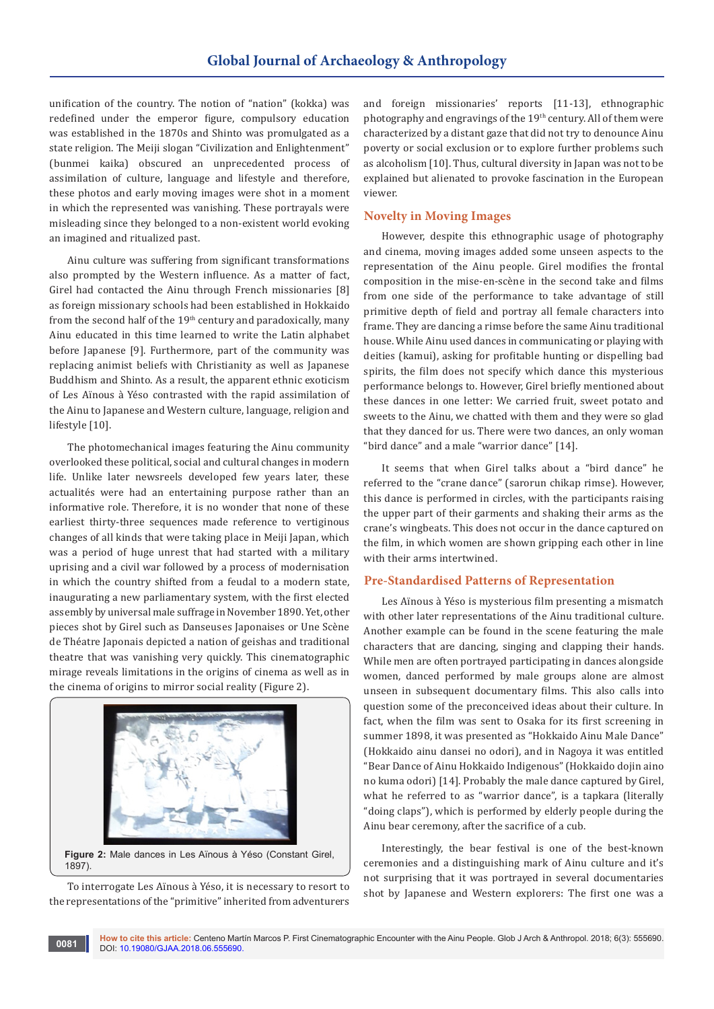unification of the country. The notion of "nation" (kokka) was redefined under the emperor figure, compulsory education was established in the 1870s and Shinto was promulgated as a state religion. The Meiji slogan "Civilization and Enlightenment" (bunmei kaika) obscured an unprecedented process of assimilation of culture, language and lifestyle and therefore, these photos and early moving images were shot in a moment in which the represented was vanishing. These portrayals were misleading since they belonged to a non-existent world evoking an imagined and ritualized past.

Ainu culture was suffering from significant transformations also prompted by the Western influence. As a matter of fact, Girel had contacted the Ainu through French missionaries [8] as foreign missionary schools had been established in Hokkaido from the second half of the  $19<sup>th</sup>$  century and paradoxically, many Ainu educated in this time learned to write the Latin alphabet before Japanese [9]. Furthermore, part of the community was replacing animist beliefs with Christianity as well as Japanese Buddhism and Shinto. As a result, the apparent ethnic exoticism of Les Aïnous à Yéso contrasted with the rapid assimilation of the Ainu to Japanese and Western culture, language, religion and lifestyle [10].

The photomechanical images featuring the Ainu community overlooked these political, social and cultural changes in modern life. Unlike later newsreels developed few years later, these actualités were had an entertaining purpose rather than an informative role. Therefore, it is no wonder that none of these earliest thirty-three sequences made reference to vertiginous changes of all kinds that were taking place in Meiji Japan, which was a period of huge unrest that had started with a military uprising and a civil war followed by a process of modernisation in which the country shifted from a feudal to a modern state, inaugurating a new parliamentary system, with the first elected assembly by universal male suffrage in November 1890. Yet, other pieces shot by Girel such as Danseuses Japonaises or Une Scène de Théatre Japonais depicted a nation of geishas and traditional theatre that was vanishing very quickly. This cinematographic mirage reveals limitations in the origins of cinema as well as in the cinema of origins to mirror social reality (Figure 2).



To interrogate Les Aïnous à Yéso, it is necessary to resort to the representations of the "primitive" inherited from adventurers and foreign missionaries' reports [11-13], ethnographic photography and engravings of the 19<sup>th</sup> century. All of them were characterized by a distant gaze that did not try to denounce Ainu poverty or social exclusion or to explore further problems such as alcoholism [10]. Thus, cultural diversity in Japan was not to be explained but alienated to provoke fascination in the European viewer.

## **Novelty in Moving Images**

However, despite this ethnographic usage of photography and cinema, moving images added some unseen aspects to the representation of the Ainu people. Girel modifies the frontal composition in the mise-en-scène in the second take and films from one side of the performance to take advantage of still primitive depth of field and portray all female characters into frame. They are dancing a rimse before the same Ainu traditional house. While Ainu used dances in communicating or playing with deities (kamui), asking for profitable hunting or dispelling bad spirits, the film does not specify which dance this mysterious performance belongs to. However, Girel briefly mentioned about these dances in one letter: We carried fruit, sweet potato and sweets to the Ainu, we chatted with them and they were so glad that they danced for us. There were two dances, an only woman "bird dance" and a male "warrior dance" [14].

It seems that when Girel talks about a "bird dance" he referred to the "crane dance" (sarorun chikap rimse). However, this dance is performed in circles, with the participants raising the upper part of their garments and shaking their arms as the crane's wingbeats. This does not occur in the dance captured on the film, in which women are shown gripping each other in line with their arms intertwined.

#### **Pre-Standardised Patterns of Representation**

Les Aïnous à Yéso is mysterious film presenting a mismatch with other later representations of the Ainu traditional culture. Another example can be found in the scene featuring the male characters that are dancing, singing and clapping their hands. While men are often portrayed participating in dances alongside women, danced performed by male groups alone are almost unseen in subsequent documentary films. This also calls into question some of the preconceived ideas about their culture. In fact, when the film was sent to Osaka for its first screening in summer 1898, it was presented as "Hokkaido Ainu Male Dance" (Hokkaido ainu dansei no odori), and in Nagoya it was entitled "Bear Dance of Ainu Hokkaido Indigenous" (Hokkaido dojin aino no kuma odori) [14]. Probably the male dance captured by Girel, what he referred to as "warrior dance", is a tapkara (literally "doing claps"), which is performed by elderly people during the Ainu bear ceremony, after the sacrifice of a cub.

Interestingly, the bear festival is one of the best-known ceremonies and a distinguishing mark of Ainu culture and it's not surprising that it was portrayed in several documentaries shot by Japanese and Western explorers: The first one was a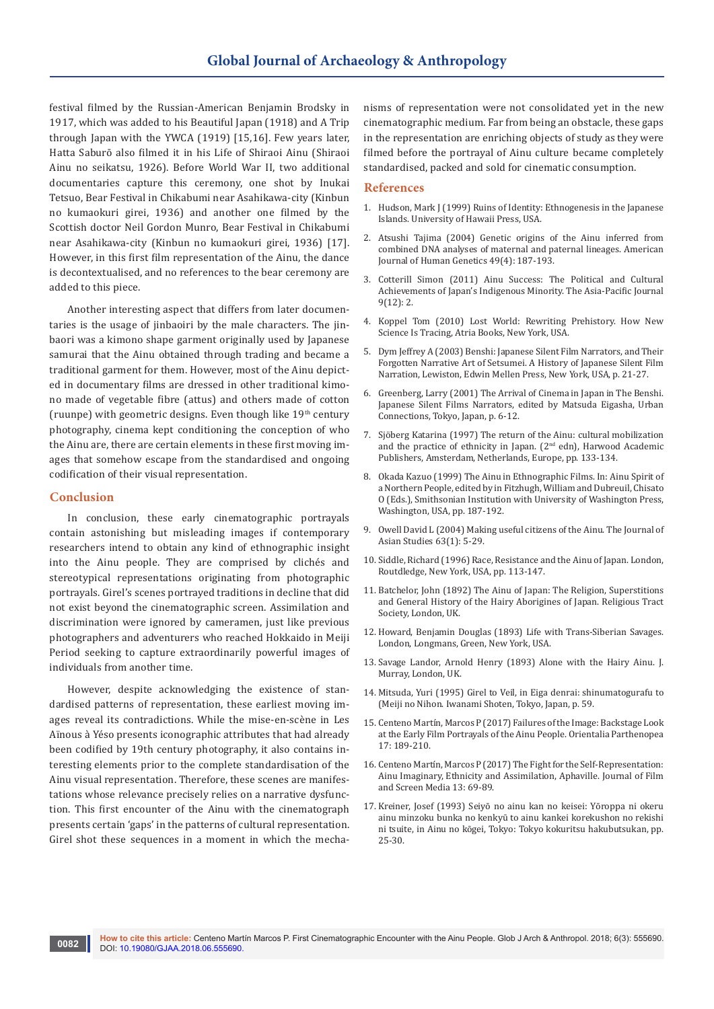festival filmed by the Russian-American Benjamin Brodsky in 1917, which was added to his Beautiful Japan (1918) and A Trip through Japan with the YWCA (1919) [15,16]. Few years later, Hatta Saburō also filmed it in his Life of Shiraoi Ainu (Shiraoi Ainu no seikatsu, 1926). Before World War II, two additional documentaries capture this ceremony, one shot by Inukai Tetsuo, Bear Festival in Chikabumi near Asahikawa-city (Kinbun no kumaokuri girei, 1936) and another one filmed by the Scottish doctor Neil Gordon Munro, Bear Festival in Chikabumi near Asahikawa-city (Kinbun no kumaokuri girei, 1936) [17]. However, in this first film representation of the Ainu, the dance is decontextualised, and no references to the bear ceremony are added to this piece.

Another interesting aspect that differs from later documentaries is the usage of jinbaoiri by the male characters. The jinbaori was a kimono shape garment originally used by Japanese samurai that the Ainu obtained through trading and became a traditional garment for them. However, most of the Ainu depicted in documentary films are dressed in other traditional kimono made of vegetable fibre (attus) and others made of cotton (ruunpe) with geometric designs. Even though like  $19<sup>th</sup>$  century photography, cinema kept conditioning the conception of who the Ainu are, there are certain elements in these first moving images that somehow escape from the standardised and ongoing codification of their visual representation.

#### **Conclusion**

In conclusion, these early cinematographic portrayals contain astonishing but misleading images if contemporary researchers intend to obtain any kind of ethnographic insight into the Ainu people. They are comprised by clichés and stereotypical representations originating from photographic portrayals. Girel's scenes portrayed traditions in decline that did not exist beyond the cinematographic screen. Assimilation and discrimination were ignored by cameramen, just like previous photographers and adventurers who reached Hokkaido in Meiji Period seeking to capture extraordinarily powerful images of individuals from another time.

However, despite acknowledging the existence of standardised patterns of representation, these earliest moving images reveal its contradictions. While the mise-en-scène in Les Aïnous à Yéso presents iconographic attributes that had already been codified by 19th century photography, it also contains interesting elements prior to the complete standardisation of the Ainu visual representation. Therefore, these scenes are manifestations whose relevance precisely relies on a narrative dysfunction. This first encounter of the Ainu with the cinematograph presents certain 'gaps' in the patterns of cultural representation. Girel shot these sequences in a moment in which the mechanisms of representation were not consolidated yet in the new cinematographic medium. Far from being an obstacle, these gaps in the representation are enriching objects of study as they were filmed before the portrayal of Ainu culture became completely standardised, packed and sold for cinematic consumption.

#### **References**

- 1. Hudson, Mark J (1999) Ruins of Identity: Ethnogenesis in the Japanese Islands. University of Hawaii Press, USA.
- 2. [Atsushi Tajima \(2004\) Genetic origins of the Ainu inferred from](https://www.ncbi.nlm.nih.gov/pubmed/14997363)  [combined DNA analyses of maternal and paternal lineages. American](https://www.ncbi.nlm.nih.gov/pubmed/14997363)  [Journal of Human Genetics 49\(4\): 187-193.](https://www.ncbi.nlm.nih.gov/pubmed/14997363)
- 3. Cotterill Simon (2011) Ainu Success: The Political and Cultural Achievements of Japan's Indigenous Minority. The Asia-Pacific Journal 9(12): 2.
- 4. Koppel Tom (2010) Lost World: Rewriting Prehistory. How New Science Is Tracing, Atria Books, New York, USA.
- 5. Dym Jeffrey A (2003) Benshi: Japanese Silent Film Narrators, and Their Forgotten Narrative Art of Setsumei. A History of Japanese Silent Film Narration, Lewiston, Edwin Mellen Press, New York, USA, p. 21-27.
- 6. Greenberg, Larry (2001) The Arrival of Cinema in Japan in The Benshi. Japanese Silent Films Narrators, edited by Matsuda Eigasha, Urban Connections, Tokyo, Japan, p. 6-12.
- 7. Sjöberg Katarina (1997) The return of the Ainu: cultural mobilization and the practice of ethnicity in Japan. (2<sup>nd</sup> edn), Harwood Academic Publishers, Amsterdam, Netherlands, Europe, pp. 133-134.
- 8. Okada Kazuo (1999) The Ainu in Ethnographic Films. In: Ainu Spirit of a Northern People, edited by in Fitzhugh, William and Dubreuil, Chisato O (Eds.), Smithsonian Institution with University of Washington Press, Washington, USA, pp. 187-192.
- 9. Owell David L (2004) Making useful citizens of the Ainu. The Journal of Asian Studies 63(1): 5-29.
- 10. Siddle, Richard (1996) Race, Resistance and the Ainu of Japan. London, Routdledge, New York, USA, pp. 113-147.
- 11. Batchelor, John (1892) The Ainu of Japan: The Religion, Superstitions and General History of the Hairy Aborigines of Japan. Religious Tract Society, London, UK.
- 12. Howard, Benjamin Douglas (1893) Life with Trans-Siberian Savages. London, Longmans, Green, New York, USA.
- 13. Savage Landor, Arnold Henry (1893) Alone with the Hairy Ainu. J. Murray, London, UK.
- 14. Mitsuda, Yuri (1995) Girel to Veil, in Eiga denrai: shinumatogurafu to (Meiji no Nihon. Iwanami Shoten, Tokyo, Japan, p. 59.
- 15. Centeno Martín, Marcos P (2017) Failures of the Image: Backstage Look at the Early Film Portrayals of the Ainu People. Orientalia Parthenopea 17: 189-210.
- 16. Centeno Martín, Marcos P (2017) The Fight for the Self-Representation: Ainu Imaginary, Ethnicity and Assimilation, Aphaville. Journal of Film and Screen Media 13: 69-89.
- 17. Kreiner, Josef (1993) Seiyō no ainu kan no keisei: Yōroppa ni okeru ainu minzoku bunka no kenkyū to ainu kankei korekushon no rekishi ni tsuite, in Ainu no kōgei, Tokyo: Tokyo kokuritsu hakubutsukan, pp. 25-30.